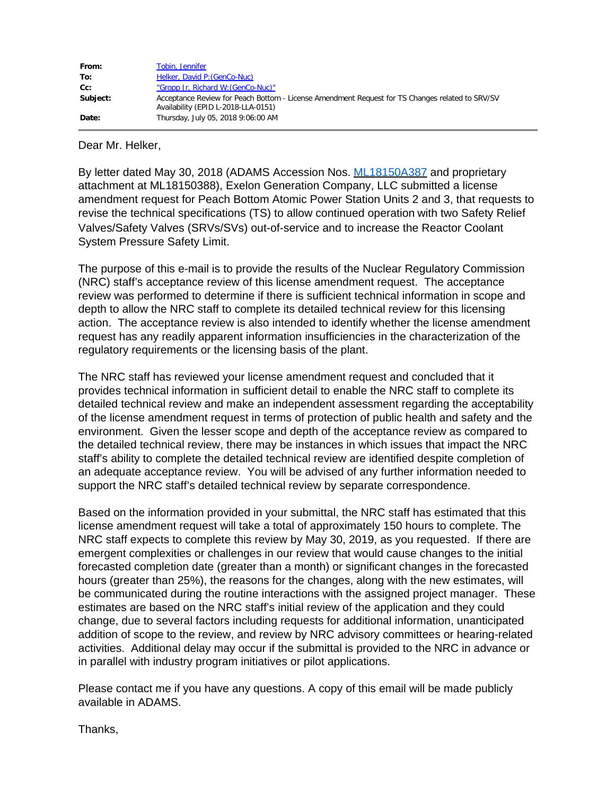| From:    | Tobin, Jennifer                                                                                                                        |
|----------|----------------------------------------------------------------------------------------------------------------------------------------|
| To:      | Helker, David P: (GenCo-Nuc)                                                                                                           |
| $Cc$ :   | "Gropp Jr, Richard W: (GenCo-Nuc)"                                                                                                     |
| Subject: | Acceptance Review for Peach Bottom - License Amendment Request for TS Changes related to SRV/SV<br>Availability (EPID L-2018-LLA-0151) |
| Date:    | Thursday, July 05, 2018 9:06:00 AM                                                                                                     |

Dear Mr. Helker,

By letter dated May 30, 2018 (ADAMS Accession Nos. ML18150A387 and proprietary attachment at ML18150388), Exelon Generation Company, LLC submitted a license amendment request for Peach Bottom Atomic Power Station Units 2 and 3, that requests to revise the technical specifications (TS) to allow continued operation with two Safety Relief Valves/Safety Valves (SRVs/SVs) out-of-service and to increase the Reactor Coolant System Pressure Safety Limit.

The purpose of this e-mail is to provide the results of the Nuclear Regulatory Commission (NRC) staff's acceptance review of this license amendment request. The acceptance review was performed to determine if there is sufficient technical information in scope and depth to allow the NRC staff to complete its detailed technical review for this licensing action. The acceptance review is also intended to identify whether the license amendment request has any readily apparent information insufficiencies in the characterization of the regulatory requirements or the licensing basis of the plant.

The NRC staff has reviewed your license amendment request and concluded that it provides technical information in sufficient detail to enable the NRC staff to complete its detailed technical review and make an independent assessment regarding the acceptability of the license amendment request in terms of protection of public health and safety and the environment. Given the lesser scope and depth of the acceptance review as compared to the detailed technical review, there may be instances in which issues that impact the NRC staff's ability to complete the detailed technical review are identified despite completion of an adequate acceptance review. You will be advised of any further information needed to support the NRC staff's detailed technical review by separate correspondence.

Based on the information provided in your submittal, the NRC staff has estimated that this license amendment request will take a total of approximately 150 hours to complete. The NRC staff expects to complete this review by May 30, 2019, as you requested. If there are emergent complexities or challenges in our review that would cause changes to the initial forecasted completion date (greater than a month) or significant changes in the forecasted hours (greater than 25%), the reasons for the changes, along with the new estimates, will be communicated during the routine interactions with the assigned project manager. These estimates are based on the NRC staff's initial review of the application and they could change, due to several factors including requests for additional information, unanticipated addition of scope to the review, and review by NRC advisory committees or hearing-related activities. Additional delay may occur if the submittal is provided to the NRC in advance or in parallel with industry program initiatives or pilot applications.

Please contact me if you have any questions. A copy of this email will be made publicly available in ADAMS.

Thanks,